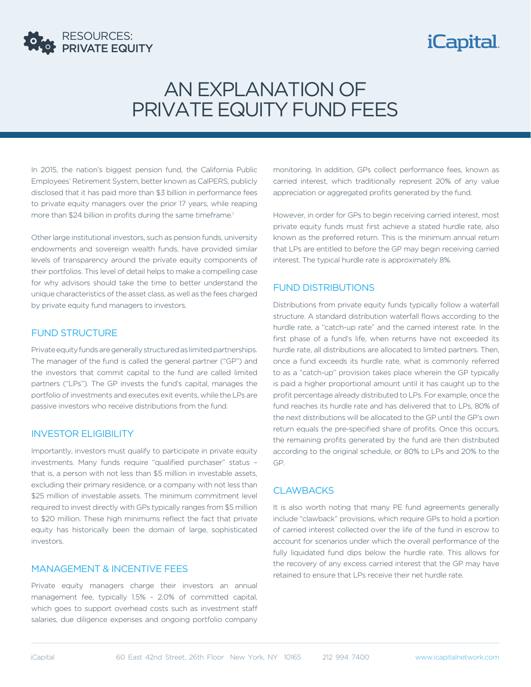

# *iCapital.*

# AN EXPLANATION OF PRIVATE EQUITY FUND FEES

In 2015, the nation's biggest pension fund, the California Public Employees' Retirement System, better known as CalPERS, publicly disclosed that it has paid more than \$3 billion in performance fees to private equity managers over the prior 17 years, while reaping more than \$24 billion in profits during the same timeframe.<sup>1</sup>

Other large institutional investors, such as pension funds, university endowments and sovereign wealth funds, have provided similar levels of transparency around the private equity components of their portfolios. This level of detail helps to make a compelling case for why advisors should take the time to better understand the unique characteristics of the asset class, as well as the fees charged by private equity fund managers to investors.

#### FUND STRUCTURE

Private equity funds are generally structured as limited partnerships. The manager of the fund is called the general partner ("GP") and the investors that commit capital to the fund are called limited partners ("LPs"). The GP invests the fund's capital, manages the portfolio of investments and executes exit events, while the LPs are passive investors who receive distributions from the fund.

### INVESTOR ELIGIBILITY

Importantly, investors must qualify to participate in private equity investments. Many funds require "qualified purchaser" status – that is, a person with not less than \$5 million in investable assets, excluding their primary residence, or a company with not less than \$25 million of investable assets. The minimum commitment level required to invest directly with GPs typically ranges from \$5 million to \$20 million. These high minimums reflect the fact that private equity has historically been the domain of large, sophisticated investors.

#### MANAGEMENT & INCENTIVE FEES

Private equity managers charge their investors an annual management fee, typically 1.5% - 2.0% of committed capital, which goes to support overhead costs such as investment staff salaries, due diligence expenses and ongoing portfolio company

monitoring. In addition, GPs collect performance fees, known as carried interest, which traditionally represent 20% of any value appreciation or aggregated profits generated by the fund.

However, in order for GPs to begin receiving carried interest, most private equity funds must first achieve a stated hurdle rate, also known as the preferred return. This is the minimum annual return that LPs are entitled to before the GP may begin receiving carried interest. The typical hurdle rate is approximately 8%.

### FUND DISTRIBUTIONS

Distributions from private equity funds typically follow a waterfall structure. A standard distribution waterfall flows according to the hurdle rate, a "catch-up rate" and the carried interest rate. In the first phase of a fund's life, when returns have not exceeded its hurdle rate, all distributions are allocated to limited partners. Then, once a fund exceeds its hurdle rate, what is commonly referred to as a "catch-up" provision takes place wherein the GP typically is paid a higher proportional amount until it has caught up to the profit percentage already distributed to LPs. For example, once the fund reaches its hurdle rate and has delivered that to LPs, 80% of the next distributions will be allocated to the GP until the GP's own return equals the pre-specified share of profits. Once this occurs, the remaining profits generated by the fund are then distributed according to the original schedule, or 80% to LPs and 20% to the GP.

### **CLAWBACKS**

It is also worth noting that many PE fund agreements generally include "clawback" provisions, which require GPs to hold a portion of carried interest collected over the life of the fund in escrow to account for scenarios under which the overall performance of the fully liquidated fund dips below the hurdle rate. This allows for the recovery of any excess carried interest that the GP may have retained to ensure that LPs receive their net hurdle rate.